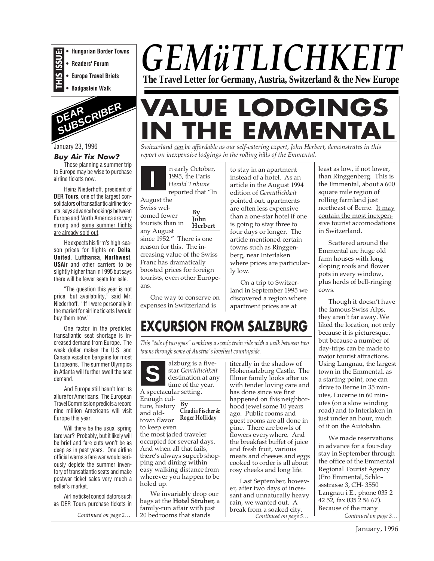**• Hungarian Border Towns**

**• Readers' Forum**

**THIS ISSUE: • Europe Travel Briefs**

**• Badgastein Walk**



#### January 23, 1996

#### **Buy Air Tix Now?**

Those planning a summer trip to Europe may be wise to purchase airline tickets now.

Heinz Niederhoff, president of **DER Tours**, one of the largest consolidators of transatlantic airline tickets, says advance bookings between Europe and North America are very strong and some summer flights are already sold out.

He expects his firm's high-season prices for flights on **Delta**, **United**, **Lufthansa**, **Northwest**, **USAir** and other carriers to be slightly higher than in 1995 but says there will be fewer seats for sale.

"The question this year is not price, but availability," said Mr. Niederhoff. "If I were personally in the market for airline tickets I would buy them now."

One factor in the predicted transatlantic seat shortage is increased demand from Europe. The weak dollar makes the U.S. and Canada vacation bargains for most Europeans. The summer Olympics in Atlanta will further swell the seat demand.

And Europe still hasn't lost its allure for Americans. The European Travel Commission predicts a record nine million Americans will visit Europe this year.

Will there be the usual spring fare war? Probably, but it likely will be brief and fare cuts won't be as deep as in past years. One airline official warns a fare war would seriously deplete the summer inventory of transatlantic seats and make postwar ticket sales very much a seller's market.

Airline ticket consolidators such as DER Tours purchase tickets in

*Continued on page 2…*

# *GEMüTLICHKEIT* **The Travel Letter for Germany, Austria, Switzerland & the New Europe**

# **VALUE LODGINGS E EMMENT**

*Switzerland can be affordable as our self-catering expert, John Herbert, demonstrates in this report on inexpensive lodgings in the rolling hills of the Emmental.*

**I** n early October, 1995, the Paris *Herald Tribune* reported that "In

> **By John**

August the Swiss wel-

comed fewer tourists than in

**Herbert** any August since 1952." There is one reason for this. The increasing value of the Swiss Franc has dramatically

boosted prices for foreign tourists, even other Europeans.

One way to conserve on expenses in Switzerland is

to stay in an apartment instead of a hotel. As an article in the August 1994 edition of *Gemütlichkeit* pointed out, apartments are often less expensive than a one-star hotel if one is going to stay three to four days or longer. The article mentioned certain towns such as Ringgenberg, near Interlaken where prices are particularly low.

On a trip to Switzerland in September 1995 we discovered a region where apartment prices are at

### **EXCURSION FROM SALZBURG**

*This "tale of two spas" combines a scenic train ride with a walk between two towns through some of Austria's loveliest countryside.*

**S** alzburg is a fivestar *Gemütlichkeit* destination at any time of the year. A spectacular setting. Enough culture, history and oldtown flavor to keep even the most jaded traveler occupied for several days. And when all that fails, there's always superb shopping and dining within easy walking distance from wherever you happen to be holed up. **By Claudia Fischer & Roger Holliday**

We invariably drop our bags at the **Hotel Struber**, a family-run affair with just 20 bedrooms that stands

literally in the shadow of Hohensalzburg Castle. The Illmer family looks after us with tender loving care and has done since we first happened on this neighborhood jewel some 10 years ago. Public rooms and guest rooms are all done in pine. There are bowls of flowers everywhere. And the breakfast buffet of juice and fresh fruit, various meats and cheeses and eggs cooked to order is all about rosy cheeks and long life.

*Continued on page 5…* Last September, however, after two days of incessant and unnaturally heavy rain, we wanted out. A break from a soaked city.

least as low, if not lower, than Ringgenberg. This is the Emmental, about a 600 square mile region of rolling farmland just northeast of Berne. It may contain the most inexpensive tourist accomodations in Switzerland.

Scattered around the Emmental are huge old farm houses with long sloping roofs and flower pots in every window, plus herds of bell-ringing cows.

Though it doesn't have the famous Swiss Alps, they aren't far away. We liked the location, not only because it is picturesque, but because a number of day-trips can be made to major tourist attractions. Using Langnau, the largest town in the Emmental, as a starting point, one can drive to Berne in 35 minutes, Lucerne in 60 minutes (on a slow winding road) and to Interlaken in just under an hour, much of it on the Autobahn.

*Continued on page 3…* We made reservations in advance for a four-day stay in September through the office of the Emmental Regional Tourist Agency (Pro Emmental, Schlossstrasse 3, CH- 3550 Langnau i E., phone 035 2 42 52, fax 035 2 56 67). Because of the many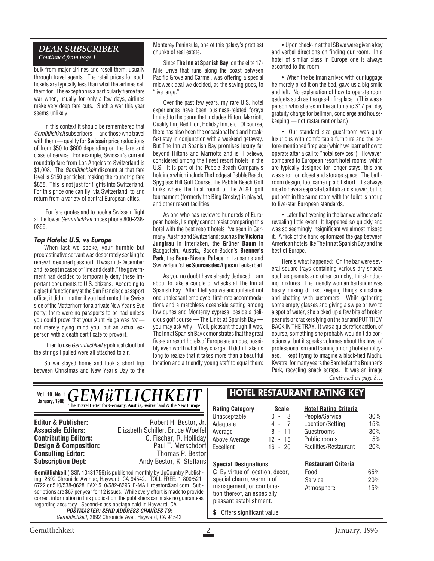#### *DEAR SUBSCRIBER Continued from page 1*

bulk from major airlines and resell them, usually through travel agents. The retail prices for such tickets are typically less than what the airlines sell them for. The exception is a particularly fierce fare war when, usually for only a few days, airlines make very deep fare cuts. Such a war this year seems unlikely.

In this context it should be remembered that Gemütlichkeit subscribers — and those who travel with them — qualify for **Swissair** price reductions of from \$50 to \$600 depending on the fare and class of service. For example, Swissair's current roundtrip fare from Los Angeles to Switzerland is \$1,008. The *Gemütlichkeit* discount at that fare level is \$150 per ticket, making the roundtrip fare \$858. This is not just for flights into Switzerland. For this price one can fly, via Switzerland, to and return from a variety of central European cities.

For fare quotes and to book a Swissair flight at the lower Gemütlichkeit prices phone 800-238- 0399.

#### **Top Hotels: U.S. vs Europe**

When last we spoke, your humble but procrastinative servant was desperately seeking to renew his expired passport. It was mid-December and, except in cases of "life and death," the government had decided to temporarily deny these important documents to U.S. citizens. According to a gleeful functionary at the San Francisco passport office, it didn't matter if you had rented the Swiss side of the Matterhorn for a private New Year's Eve party; there were no passports to be had unless you could prove that your Aunt Helga was tot not merely dying mind you, but an actual experson with a death certificate to prove it.

I tried to use Gemütlichkeit's political clout but the strings I pulled were all attached to air.

So we stayed home and took a short trip between Christmas and New Year's Day to the Monterey Peninsula, one of this galaxy's prettiest chunks of real estate.

Since **The Inn at Spanish Bay**, on the elite 17- Mile Drive that runs along the coast between Pacific Grove and Carmel, was offering a special midweek deal we decided, as the saying goes, to "live large."

Over the past few years, my rare U.S. hotel experiences have been business-related forays limited to the genre that includes Hilton, Marriott, Quality Inn, Red Lion, Holiday Inn, etc. Of course, there has also been the occasional bed and breakfast stay in conjunction with a weekend getaway. But The Inn at Spanish Bay promises luxury far beyond Hiltons and Marriotts and is, I believe, considered among the finest resort hotels in the U.S. It is part of the Pebble Beach Company's holdings which include The Lodge at Pebble Beach, Spyglass Hill Golf Course, the Pebble Beach Golf Links where the final round of the AT&T golf tournament (formerly the Bing Crosby) is played, and other resort facilities.

As one who has reviewed hundreds of European hotels, I simply cannot resist comparing this hotel with the best resort hotels I've seen in Germany, Austria and Switzerland; such as the **Victoria Jungfrau** in Interlaken, the **Grüner Baum** in Badgastein, Austria, Baden-Baden's **Brenner's Park**, the **Beau-Rivage Palace** in Lausanne and Switzerland's **Les Sources des Alpes**in Leukerbad.

As you no doubt have already deduced, I am about to take a couple of whacks at The Inn at Spanish Bay. After I tell you we encountered not one unpleasant employee, first-rate accommodations and a matchless oceanside setting among low dunes and Monterey cypress, beside a delicious golf course — The Links at Spanish Bay you may ask why. Well, pleasant though it was, The Inn at Spanish Bay demonstrates that the great five-star resort hotels of Europe are unique, possibly even worth what they charge. It didn't take us long to realize that it takes more than a beautiful location and a friendly young staff to equal them:

• Upon check-in at the ISB we were given a key and verbal directions on finding our room. In a hotel of similar class in Europe one is always escorted to the room.

• When the bellman arrived with our luggage he merely piled it on the bed, gave us a big smile and left. No explanation of how to operate room gadgets such as the gas-lit fireplace. (This was a person who shares in the automatic \$17 per day gratuity charge for bellmen, concierge and housekeeping — not restaurant or bar.)

• Our standard size guestroom was quite luxurious with comfortable furniture and the before-mentioned fireplace (which we learned how to operate after a call to "hotel services"). However, compared to European resort hotel rooms, which are typically designed for longer stays, this one was short on closet and storage space. The bathroom design, too, came up a bit short. It's always nice to have a separate bathtub and shower, but to put both in the same room with the toilet is not up to five-star European standards.

• Later that evening in the bar we witnessed a revealing little event. It happened so quickly and was so seemingly insignificant we almost missed it. A flick of the hand epitomized the gap between American hotels like The Inn at Spanish Bay and the best of Europe.

Here's what happened: On the bar were several square trays containing various dry snacks such as peanuts and other crunchy, thirst-inducing mixtures. The friendly woman bartender was busily mixing drinks, keeping things shipshape and chatting with customers. While gathering some empty glasses and giving a swipe or two to a spot of water, she picked up a few bits of broken peanuts or crackers lying on the bar and PUT THEM BACK IN THE TRAY. It was a quick reflex action, of course, something she probably wouldn't do consciously, but it speaks volumes about the level of professionalism and training among hotel employees. I kept trying to imagine a black-tied Madhu Kwatra, for many years the Barchef at the Brenner's Park, recycling snack scraps. It was an image *Continued on page 8…*

**Gemütlichkeit** (ISSN 10431756) is published a ing, 2892 Chronicle Avenue, Hayward, CA 94 6722 or 510/538-0628. FAX: 510/582-8296, Escriptions are \$67 per year for 12 issues. While **Editor & Publisher: Associate Editors:** Elizabe **Contributing Editors: Design & Composition: Consulting Editor: Subscription Dept:** *GEMüTLICHKEIT* **The Travel Letter for Germany, Aust Rating Category Scale** Unacceptable 0 - 3 Adequate 4 - 7 Average 8 - 11 Above Average 12 - 15 Excellent 16 - 20 **Special Designations G** By virtue of location, decor, special charm, warmth of management, or combina-**Vol. 10, No. 1 January, 1996**

**HOTEL RESTAURANT RATING KEY**

| <b>UMINUIT, IUUU</b>                                                                                                                                                                                                                                                                                                                                                                  | The Travel Letter for Germany, Austria, Switzerland & the New Europe                                                            | <b>Rating Category</b>                                                                                        | <b>Scale</b>                                                          | <b>Hotel Rating Criteria</b>                                                              |                                |
|---------------------------------------------------------------------------------------------------------------------------------------------------------------------------------------------------------------------------------------------------------------------------------------------------------------------------------------------------------------------------------------|---------------------------------------------------------------------------------------------------------------------------------|---------------------------------------------------------------------------------------------------------------|-----------------------------------------------------------------------|-------------------------------------------------------------------------------------------|--------------------------------|
| <b>Editor &amp; Publisher:</b><br><b>Associate Editors:</b><br><b>Contributing Editors:</b><br><b>Design &amp; Composition:</b><br><b>Consulting Editor:</b>                                                                                                                                                                                                                          | Robert H. Bestor, Jr.<br>Elizabeth Schiller, Bruce Woelfel<br>C. Fischer, R. Holliday<br>Paul T. Merschdorf<br>Thomas P. Bestor | Unacceptable<br>Adequate<br>Average<br>Above Average<br><b>Fxcellent</b>                                      | $0 - 3$<br>4 -<br>8<br>- 11<br>$12 - 15$<br>$16 - 20$                 | People/Service<br>Location/Setting<br>Guestrooms<br>Public rooms<br>Facilities/Restaurant | 30%<br>15%<br>30%<br>5%<br>20% |
| <b>Subscription Dept:</b>                                                                                                                                                                                                                                                                                                                                                             | Andy Bestor, K. Steffans<br><b>Gemütlichkeit</b> (ISSN 10431756) is published monthly by UpCountry Publish-                     |                                                                                                               | <b>Special Designations</b><br><b>G</b> By virtue of location, decor. |                                                                                           | 65%                            |
| ing, 2892 Chronicle Avenue, Hayward, CA 94542. TOLL FREE: 1-800/521-<br>6722 or 510/538-0628, FAX: 510/582-8296, E-MAIL rbestor@aol.com, Sub-<br>scriptions are \$67 per year for 12 issues. While every effort is made to provide<br>correct information in this publication, the publishers can make no quarantees<br>regarding accuracy. Second-class postage paid in Hayward, CA. |                                                                                                                                 | special charm, warmth of<br>management, or combina-<br>tion thereof, an especially<br>pleasant establishment. |                                                                       | Food<br>Service<br>Atmosphere                                                             | 20%<br>15%                     |
| <b>POSTMASTER: SEND ADDRESS CHANGES TO:</b><br>Gemütlichkeit, 2892 Chronicle Ave., Hayward, CA 94542                                                                                                                                                                                                                                                                                  |                                                                                                                                 | Offers significant value.                                                                                     |                                                                       |                                                                                           |                                |

Gemütlichkeit 2 January, 1996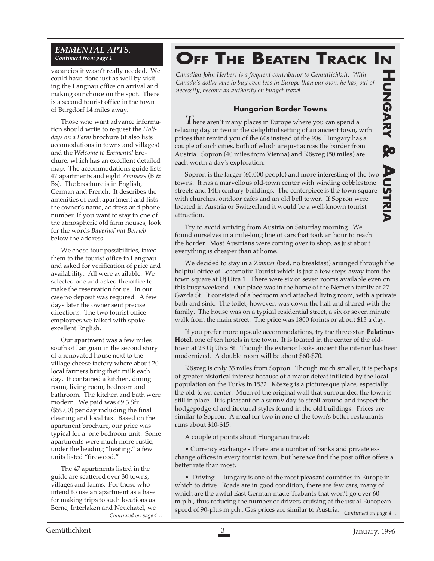#### *EMMENTAL APTS. Continued from page 1*

vacancies it wasn't really needed. We could have done just as well by visiting the Langnau office on arrival and making our choice on the spot. There is a second tourist office in the town of Burgdorf 14 miles away.

Those who want advance information should write to request the *Holidays on a Farm* brochure (it also lists accomodations in towns and villages) and the *Welcome to Emmental* brochure, which has an excellent detailed map. The accommodations guide lists 47 apartments and eight *Zimmers* (B & Bs). The brochure is in English, German and French. It describes the amenities of each apartment and lists the owner's name, address and phone number. If you want to stay in one of the atmospheric old farm houses, look for the words *Bauerhof mit Betrieb* below the address.

We chose four possibilities, faxed them to the tourist office in Langnau and asked for verification of price and availability. All were available. We selected one and asked the office to make the reservation for us. In our case no deposit was required. A few days later the owner sent precise directions. The two tourist office employees we talked with spoke excellent English.

Our apartment was a few miles south of Langnau in the second story of a renovated house next to the village cheese factory where about 20 local farmers bring their milk each day. It contained a kitchen, dining room, living room, bedroom and bathroom. The kitchen and bath were modern. We paid was 69.3 Sfr. (\$59.00) per day including the final cleaning and local tax. Based on the apartment brochure, our price was typical for a one bedroom unit. Some apartments were much more rustic; under the heading "heating," a few units listed "firewood."

The 47 apartments listed in the guide are scattered over 30 towns, villages and farms. For those who intend to use an apartment as a base for making trips to such locations as Berne, Interlaken and Neuchatel, we

## **OFF THE BEATEN TRACK IN**

*Canadian John Herbert is a frequent contributor to Gemütlichkeit. With Canada's dollar able to buy even less in Europe than our own, he has, out of necessity, become an authority on budget travel.*

#### **Hungarian Border Towns**

*T*here aren't many places in Europe where you can spend a relaxing day or two in the delightful setting of an ancient town, with prices that remind you of the 60s instead of the 90s Hungary has a couple of such cities, both of which are just across the border from Austria. Sopron (40 miles from Vienna) and Köszeg (50 miles) are each worth a day's exploration.

**UNGARY & A**Sopron is the larger (60,000 people) and more interesting of the two **USTRIA** towns. It has a marvellous old-town center with winding cobblestone **USTRIA** streets and 14th century buildings. The centerpiece is the town square with churches, outdoor cafes and an old bell tower. If Sopron were located in Austria or Switzerland it would be a well-known tourist attraction.

Try to avoid arriving from Austria on Saturday morning. We found ourselves in a mile-long line of cars that took an hour to reach the border. Most Austrians were coming over to shop, as just about everything is cheaper than at home.

We decided to stay in a *Zimmer* (bed, no breakfast) arranged through the helpful office of Locomotiv Tourist which is just a few steps away from the town square at Uj Utca 1. There were six or seven rooms available even on this busy weekend. Our place was in the home of the Nemeth family at 27 Gazda St. It consisted of a bedroom and attached living room, with a private bath and sink. The toilet, however, was down the hall and shared with the family. The house was on a typical residential street, a six or seven minute walk from the main street. The price was 1800 forints or about \$13 a day.

If you prefer more upscale accommodations, try the three-star **Palatinus Hotel**, one of ten hotels in the town. It is located in the center of the oldtown at 23 Uj Utca St. Though the exterior looks ancient the interior has been modernized. A double room will be about \$60-\$70.

Köszeg is only 35 miles from Sopron. Though much smaller, it is perhaps of greater historical interest because of a major defeat inflicted by the local population on the Turks in 1532. Köszeg is a picturesque place, especially the old-town center. Much of the original wall that surrounded the town is still in place. It is pleasant on a sunny day to stroll around and inspect the hodgepodge of architectural styles found in the old buildings. Prices are similar to Sopron. A meal for two in one of the town's better restaurants runs about \$10-\$15.

A couple of points about Hungarian travel:

• Currency exchange - There are a number of banks and private exchange offices in every tourist town, but here we find the post office offers a better rate than most.

*Continued on page 4…* speed of 90-plus m.p.h.. Gas prices are similar to Austria. *Continued on page 4…* • Driving - Hungary is one of the most pleasant countries in Europe in which to drive. Roads are in good condition, there are few cars, many of which are the awful East German-made Trabants that won't go over 60 m.p.h., thus reducing the number of drivers cruising at the usual European

**HAGARY** 

**DO**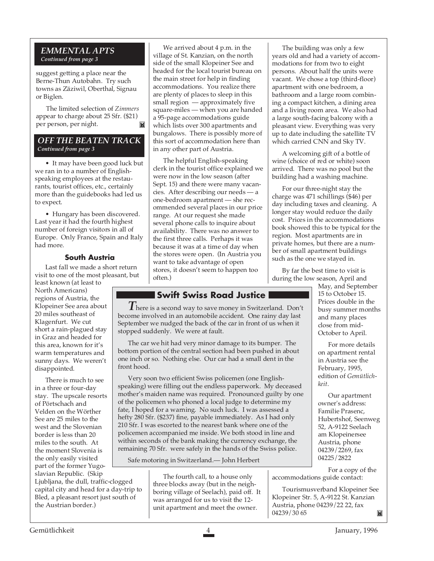#### *EMMENTAL APTS Continued from page 3*

suggest getting a place near the Berne-Thun Autobahn. Try such towns as Zäziwil, Oberthal, Signau or Biglen.

The limited selection of *Zimmers* appear to charge about 25 Sfr. (\$21) per person, per night.  $\mathbb{N}$ 

#### *OFF THE BEATEN TRACK Continued from page 3*

• It may have been good luck but we ran in to a number of Englishspeaking employees at the restaurants, tourist offices, etc., certainly more than the guidebooks had led us to expect.

• Hungary has been discovered. Last year it had the fourth highest number of foreign visitors in all of Europe. Only France, Spain and Italy had more.

#### **South Austria**

Last fall we made a short return visit to one of the most pleasant, but

least known (at least to North Americans) regions of Austria, the Klopeiner See area about 20 miles southeast of Klagenfurt. We cut short a rain-plagued stay in Graz and headed for this area, known for it's warm temperatures and sunny days. We weren't disappointed.

There is much to see in a three or four-day stay. The upscale resorts of Pörtschach and Velden on the Wörther See are 25 miles to the west and the Slovenian border is less than 20 miles to the south. At the moment Slovenia is the only easily visited part of the former Yugoslavian Republic. (Skip

Ljubljana, the dull, traffic-clogged capital city and head for a day-trip to Bled, a pleasant resort just south of the Austrian border.)

We arrived about 4 p.m. in the village of St. Kanzian, on the north side of the small Klopeiner See and headed for the local tourist bureau on the main street for help in finding accommodations. You realize there are plenty of places to sleep in this small region — approximately five square-miles — when you are handed a 95-page accommodations guide which lists over 300 apartments and bungalows. There is possibly more of this sort of accommodation here than in any other part of Austria.

The helpful English-speaking clerk in the tourist office explained we were now in the low season (after Sept. 15) and there were many vacancies. After describing our needs — a one-bedroom apartment — she recommended several places in our price range. At our request she made several phone calls to inquire about availability. There was no answer to the first three calls. Perhaps it was because it was at a time of day when the stores were open. (In Austria you want to take advantage of open stores, it doesn't seem to happen too often.)

#### **Swift Swiss Road Justice**

*T*here is a second way to save money in Switzerland. Don't become involved in an automobile accident. One rainy day last September we nudged the back of the car in front of us when it stopped suddenly. We were at fault.

The car we hit had very minor damage to its bumper. The bottom portion of the central section had been pushed in about one inch or so. Nothing else. Our car had a small dent in the front hood.

Very soon two efficient Swiss policemen (one Englishspeaking) were filling out the endless paperwork. My deceased mother's maiden name was required. Pronounced guilty by one of the policemen who phoned a local judge to determine my fate, I hoped for a warning. No such luck. I was assessed a hefty 280 Sfr. (\$237) fine, payable immediately. As I had only 210 Sfr. I was escorted to the nearest bank where one of the policemen accompanied me inside. We both stood in line and within seconds of the bank making the currency exchange, the remaining 70 Sfr. were safely in the hands of the Swiss police.

Safe motoring in Switzerland.— John Herbert

The fourth call, to a house only three blocks away (but in the neighboring village of Seelach), paid off. It was arranged for us to visit the 12 unit apartment and meet the owner.

The building was only a few years old and had a variety of accommodations for from two to eight persons. About half the units were vacant. We chose a top (third-floor) apartment with one bedroom, a bathroom and a large room combining a compact kitchen, a dining area and a living room area. We also had a large south-facing balcony with a pleasant view. Everything was very up to date including the satellite TV which carried CNN and Sky TV.

A welcoming gift of a bottle of wine (choice of red or white) soon arrived. There was no pool but the building had a washing machine.

For our three-night stay the charge was 471 schillings (\$46) per day including taxes and cleaning. A longer stay would reduce the daily cost. Prices in the accommodations book showed this to be typical for the region. Most apartments are in private homes, but there are a number of small apartment buildings such as the one we stayed in.

By far the best time to visit is during the low season, April and

May, and September 15 to October 15. Prices double in the busy summer months and many places close from mid-October to April.

For more details on apartment rental in Austria see the February, 1995, edition of *Gemütlichkeit*.

Our apartment owner's address: Familie Prasenc, Hubertshof, Seenweg 52, A-9122 Seelach am Klopeinersee Austria, phone 04239/2269, fax 04225/2822

For a copy of the accommodations guide contact:

Tourismusverband Klopeiner See Klopeiner Str. 5, A-9122 St. Kanzian Austria, phone 04239/22 22, fax 04239/30 65 Ĭ.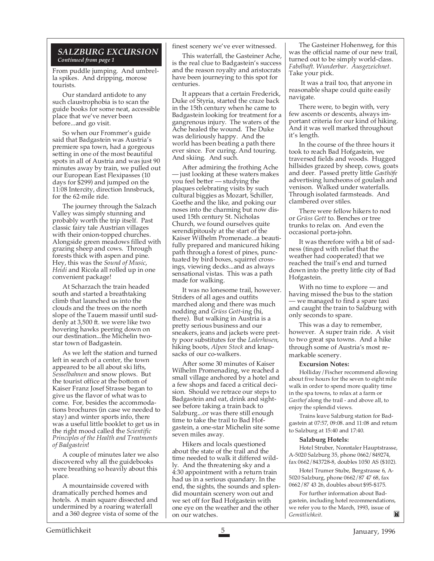#### *SALZBURG EXCURSION Continued from page 1*

From puddle jumping. And umbrella spikes. And dripping, morose tourists.

Our standard antidote to any such claustrophobia is to scan the guide books for some neat, accessible place that we've never been before...and go visit.

So when our Frommer's guide said that Badgastein was Austria's premiere spa town, had a gorgeous setting in one of the most beautiful spots in all of Austria and was just 90 minutes away by train, we pulled out our European East Flexipasses (10 days for \$299) and jumped on the 11:08 Intercity, direction Innsbruck, for the 62-mile ride.

The journey through the Salzach Valley was simply stunning and probably worth the trip itself. Past classic fairy tale Austrian villages with their onion-topped churches. Alongside green meadows filled with grazing sheep and cows. Through forests thick with aspen and pine. Hey, this was the *Sound of Music*, *Heidi* and Ricola all rolled up in one convenient package!

At Scharzach the train headed south and started a breathtaking climb that launched us into the clouds and the trees on the north slope of the Tauern massif until suddenly at 3,500 ft. we were like two hovering hawks peering down on our destination...the Michelin twostar town of Badgastein.

As we left the station and turned left in search of a center, the town appeared to be all about ski lifts, *Sesselbahnen* and snow plows. But the tourist office at the bottom of Kaiser Franz Josef Strasse began to give us the flavor of what was to come. For, besides the accommodations brochures (in case we needed to stay) and winter sports info, there was a useful little booklet to get us in the right mood called the *Scientific Principles of the Health and Treatments of Badgastein*!

A couple of minutes later we also discovered why all the guidebooks were breathing so heavily about this place.

A mountainside covered with dramatically perched homes and hotels. A main square dissected and undermined by a roaring waterfall and a 360 degree vista of some of the

#### finest scenery we've ever witnessed.

This waterfall, the Gasteiner Ache, is the real clue to Badgastein's success and the reason royalty and aristocrats have been journeying to this spot for centuries.

It appears that a certain Frederick, Duke of Styria, started the craze back in the 15th century when he came to Badgastein looking for treatment for a gangrenous injury. The waters of the Ache healed the wound. The Duke was deliriously happy. And the world has been beating a path there ever since. For curing. And touring. And skiing. And such.

After admiring the frothing Ache — just looking at these waters makes you feel better — studying the plaques celebrating visits by such cultural biggies as Mozart, Schiller, Goethe and the like, and poking our noses into the charming but now disused 15th century St. Nicholas Church, we found ourselves quite serendipitously at the start of the Kaiser Wilhelm Promenade...a beautifully prepared and manicured hiking path through a forest of pines, punctuated by bird boxes, squirrel crossings, viewing decks...and as always sensational vistas. This was a path made for walking.

It was no lonesome trail, however. Striders of all ages and outfits marched along and there was much nodding and *Grüss Gott-*ing (hi, there). But walking in Austria is a pretty serious business and our sneakers, jeans and jackets were pretty poor substitutes for the *Lederhosen*, hiking boots, *Alpen Stock* and knapsacks of our co-walkers.

After some 30 minutes of Kaiser Wilhelm Promenading, we reached a small village anchored by a hotel and a few shops and faced a critical decision. Should we retrace our steps to Badgastein and eat, drink and sightsee before taking a train back to Salzburg...or was there still enough time to take the trail to Bad Hofgastein, a one-star Michelin site some seven miles away.

Hikers and locals questioned about the state of the trail and the time needed to walk it differed wildly. And the threatening sky and a 4:30 appointment with a return train had us in a serious quandary. In the end, the sights, the sounds and splendid mountain scenery won out and we set off for Bad Hofgastein with one eye on the weather and the other on our watches.

The Gasteiner Hohenweg, for this was the official name of our new trail, turned out to be simply world-class. *Fabelhaft*. *Wunderbar*. *Ausgezeichnet*. Take your pick.

 It was a trail too, that anyone in reasonable shape could quite easily navigate.

There were, to begin with, very few ascents or descents, always important criteria for our kind of hiking. And it was well marked throughout it's length.

In the course of the three hours it took to reach Bad Hofgastein, we traversed fields and woods. Hugged hillsides grazed by sheep, cows, goats and deer. Passed pretty little *Gasthöfe* advertising luncheons of goulash and venison. Walked under waterfalls. Through isolated farmsteads. And clambered over stiles.

There were fellow hikers to nod or *Grüss Gott* to. Benches or tree trunks to relax on. And even the occasional porta-john.

It was therefore with a bit of sadness (tinged with relief that the weather had cooperated) that we reached the trail's end and turned down into the pretty little city of Bad Hofgastein.

With no time to explore — and having missed the bus to the station — we managed to find a spare taxi and caught the train to Salzburg with only seconds to spare.

This was a day to remember, however. A super train ride. A visit to two great spa towns. And a hike through some of Austria's most remarkable scenery.

#### **Excursion Notes:**

Holliday/Fischer recommend allowing about five hours for the seven to eight mile walk in order to spend more quality time in the spa towns, to relax at a farm or *Gasthof* along the trail - and above all, to enjoy the splendid views.

Trains leave Salzburg station for Badgastein at 07:57, 09:08. and 11:08 and return to Salzburg at 15:40 and 17:40.

#### **Salzburg Hotels:**

Hotel Struber, Nonntaler Hauptstrasse, A-5020 Salzburg 35, phone 0662/849274, fax 0662/843728-8, doubles 1050 AS (\$102).

Hotel Trumer Stube, Bergstrasse 6, A-5020 Salzburg, phone 0662/87 47 68, fax 0662/87 43 26, doubles about \$95-\$175.

For further information about Badgastein, including hotel recommendations, we refer you to the March, 1993, issue of *Gemütlichkeit*.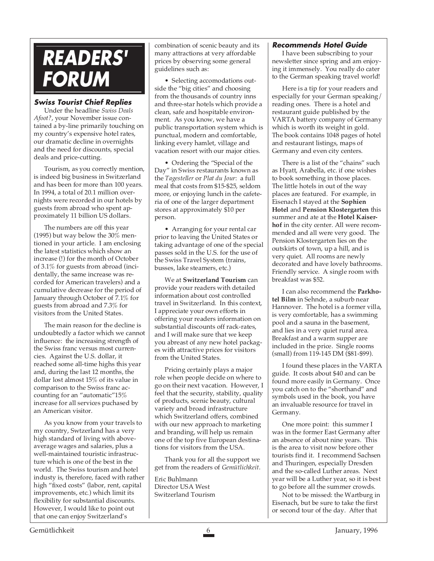## **READERS' FORUM**

#### **Swiss Tourist Chief Replies**

Under the headline *Swiss Deals Afoot?*, your November issue contained a by-line primarily touching on my country's expensive hotel rates, our dramatic decline in overnights and the need for discounts, special deals and price-cutting.

Tourism, as you correctly mention, is indeed big business in Switzerland and has been for more than 100 years. In 1994, a total of 20.1 million overnights were recorded in our hotels by guests from abroad who spent approximately 11 billion US dollars.

The numbers are off this year (1995) but way below the 30% mentioned in your article. I am enclosing the latest statistics which show an increase (!) for the month of October of 3.1% for guests from abroad (incidentally, the same increase was recorded for American travelers) and a cumulative decrease for the period of January through October of 7.1% for guests from abroad and 7.3% for visitors from the United States.

The main reason for the decline is undoubtedly a factor which we cannot influence: the increasing strength of the Swiss franc versus most currencies. Against the U.S. dollar, it reached some all-time highs this year and, during the last 12 months, the dollar lost almost 15% of its value in comparison to the Swiss franc accounting for an "automatic"15% increase for all services puchased by an American visitor.

As you know from your travels to my country, Swtzerland has a very high standard of living with aboveaverage wages and salaries, plus a well-maintained touristic infrastructure which is one of the best in the world. The Swiss tourism and hotel industy is, therefore, faced with rather high "fixed costs" (labor, rent, capital improvements, etc.) which limit its flexibility for substantial discounts. However, I would like to point out that one can enjoy Switzerland's

combination of scenic beauty and its many attractions at very affordable prices by observing some general guidelines such as:

• Selecting accomodations outside the "big cities" and choosing from the thousands of country inns and three-star hotels which provide a clean, safe and hospitable environment. As you know, we have a public transportation system which is punctual, modern and comfortable, linking every hamlet, village and vacation resort with our major cities.

• Ordering the "Special of the Day" in Swiss restaurants known as the *Tagesteller* or *Plat du Jour*: a full meal that costs from \$15-\$25, seldom more, or enjoying lunch in the cafeteria of one of the larger department stores at approximately \$10 per person.

• Arranging for your rental car prior to leaving the United States or taking advantage of one of the special passes sold in the U.S. for the use of the Swiss Travel System (trains, busses, lake steamers, etc.)

We at **Switzerland Tourism** can provide your readers with detailed information about cost controlled travel in Switzerland. In this context, I appreciate your own efforts in offering your readers information on substantial discounts off rack-rates, and I will make sure that we keep you abreast of any new hotel packages with attractive prices for visitors from the United States.

Pricing certainly plays a major role when people decide on where to go on their next vacation. However, I feel that the security, stability, quality of products, scenic beauty, cultural variety and broad infrastructure which Switzerland offers, combined with our new approach to marketing and branding, will help us remain one of the top five European destinations for visitors from the USA.

Thank you for all the support we get from the readers of *Gemütlichkeit*.

Eric Buhlmann Director USA West Switzerland Tourism

#### **Recommends Hotel Guide**

I have been subscribing to your newsletter since spring and am enjoying it immensely. You really do cater to the German speaking travel world!

Here is a tip for your readers and especially for your German speaking/ reading ones. There is a hotel and restaurant guide published by the VARTA battery company of Germany which is worth its weight in gold. The book contains 1048 pages of hotel and restaurant listings, maps of Germany and even city centers.

There is a list of the "chains" such as Hyatt, Arabella, etc. if one wishes to book something in those places. The little hotels in out of the way places are featured. For example, in Eisenach I stayed at the **Sophien Hotel** and **Pension Klostergarten** this summer and ate at the **Hotel Kaiserhof** in the city center. All were recommended and all were very good. The Pension Klostergarten lies on the outskirts of town, up a hill, and is very quiet. All rooms are newly decorated and have lovely bathrooms. Friendly service. A single room with breakfast was \$52.

I can also recommend the **Parkhotel Bilm** in Sehnde, a suburb near Hannover. The hotel is a former villa, is very comfortable, has a swimming pool and a sauna in the basement, and lies in a very quiet rural area. Breakfast and a warm supper are included in the price. Single rooms (small) from 119-145 DM (\$81-\$99).

I found these places in the VARTA guide. It costs about \$40 and can be found more easily in Germany. Once you catch on to the "shorthand" and symbols used in the book, you have an invaluable resource for travel in Germany.

One more point: this summer I was in the former East Germany after an absence of about nine years. This is the area to visit now before other tourists find it. I recommend Sachsen and Thuringen, especially Dresden and the so-called Luther areas. Next year will be a Luther year, so it is best to go before all the summer crowds.

Not to be missed: the Wartburg in Eisenach, but be sure to take the first or second tour of the day. After that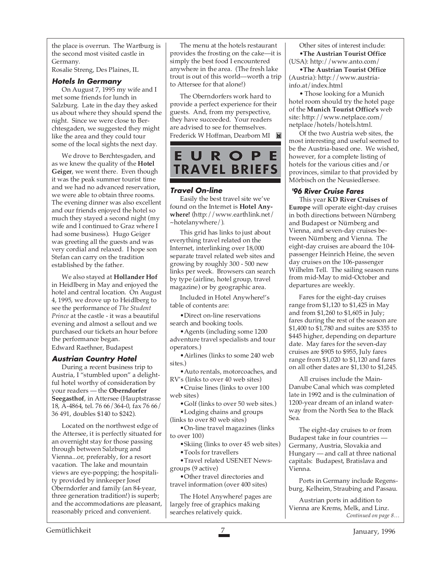the place is overrun. The Wartburg is the second most visited castle in Germany.

Rosalie Streng, Des Plaines, IL

#### **Hotels In Germany**

On August 7, 1995 my wife and I met some friends for lunch in Salzburg. Late in the day they asked us about where they should spend the night. Since we were close to Berchtesgaden, we suggested they might like the area and they could tour some of the local sights the next day.

We drove to Berchtesgaden, and as we knew the quality of the **Hotel Geiger**, we went there. Even though it was the peak summer tourist time and we had no advanced reservation, we were able to obtain three rooms. The evening dinner was also excellent and our friends enjoyed the hotel so much they stayed a second night (my wife and I continued to Graz where I had some business). Hugo Geiger was greeting all the guests and was very cordial and relaxed. I hope son Stefan can carry on the tradition established by the father.

We also stayed at **Hollander Hof** in Heidlberg in May and enjoyed the hotel and central location. On August 4, 1995, we drove up to Heidlberg to see the performance of *The Student Prince* at the castle - it was a beautiful evening and almost a sellout and we purchased our tickets an hour before the performance began. Edward Raethner, Budapest

#### **Austrian Country Hotel**

During a recent business trip to Austria, I "stumbled upon" a delightful hotel worthy of consideration by your readers — the **Oberndorfer Seegasthof**, in Attersee (Hauptstrasse 18, A-4864, tel. 76 66/364-0, fax 76 66/ 36 491, doubles \$140 to \$242).

Located on the northwest edge of the Attersee, it is perfectly situated for an overnight stay for those passing through between Salzburg and Vienna...or, preferably, for a resort vacation. The lake and mountain views are eye-popping; the hospitality provided by innkeeper Josef Oberndorfer and family (an 84-year, three generation tradition!) is superb; and the accommodations are pleasant, reasonably priced and convenient.

The menu at the hotels restaurant provides the frosting on the cake—it is simply the best food I encountered anywhere in the area. (The fresh lake trout is out of this world—worth a trip to Attersee for that alone!)

The Oberndorfers work hard to provide a perfect experience for their guests. And, from my perspective, they have succeeded. Your readers are advised to see for themselves. Frederick W Hoffman, Dearborn MI



#### **Travel On-line**

Easily the best travel site we've found on the Internet is **Hotel Anywhere!** (http://www.earthlink.net/ ~hotelanywhere/).

This grid has links to just about everything travel related on the Internet, interlinking over 18,000 separate travel related web sites and growing by roughly 300 - 500 new links per week. Browsers can search by type (airline, hotel group, travel magazine) or by geographic area.

Included in Hotel Anywhere!'s table of contents are:

•Direct on-line reservations search and booking tools.

•Agents (including some 1200 adventure travel specialists and tour operators.)

•Airlines (links to some 240 web sites.)

•Auto rentals, motorcoaches, and RV's (links to over 40 web sites)

•Cruise lines (links to over 100 web sites)

•Golf (links to over 50 web sites.) •Lodging chains and groups

(links to over 80 web sites)

•On-line travel magazines (links to over 100)

•Skiing (links to over 45 web sites) •Tools for travellers

•Travel related USENET Newsgroups (9 active)

•Other travel directories and travel information (over 400 sites)

The Hotel Anywhere! pages are largely free of graphics making searches relatively quick.

Other sites of interest include: •**The Austrian Tourist Office** (USA): http://www.anto.com/

•**The Austrian Tourist Office** (Austria): http://www.austriainfo.at/index.html

• Those looking for a Munich hotel room should try the hotel page of the **Munich Tourist Office's** web site: http://www.netplace.com/ netplace/hotels/hotels.html.

Of the two Austria web sites, the most interesting and useful seemed to be the Austria-based one. We wished, however, for a complete listing of hotels for the various cities and/or provinces, similar to that provided by Mörbisch on the Neusiedlersee.

#### **'96 River Cruise Fares**

This year **KD River Cruises of Europe** will operate eight-day cruises in both directions between Nürnberg and Budapest or Nürnberg and Vienna, and seven-day cruises between Nürnberg and Vienna. The eight-day cruises are aboard the 104 passenger Heinrich Heine, the seven day cruises on the 106-passenger Wilhelm Tell. The sailing season runs from mid-May to mid-October and departures are weekly.

Fares for the eight-day cruises range from \$1,120 to \$1,425 in May and from \$1,260 to \$1,605 in July; fares during the rest of the season are \$1,400 to \$1,780 and suites are \$355 to \$445 higher, depending on departure date. May fares for the seven-day cruises are \$905 to \$955, July fares range from \$1,020 to \$1,120 and fares on all other dates are \$1,130 to \$1,245.

All cruises include the Main-Danube Canal which was completed late in 1992 and is the culmination of 1200-year dream of an inland waterway from the North Sea to the Black Sea.

The eight-day cruises to or from Budapest take in four countries — Germany, Austria, Slovakia and Hungary — and call at three national capitals: Budapest, Bratislava and Vienna.

Ports in Germany include Regensburg, Kelheim, Straubing and Passau.

*Continued on page 8…* Austrian ports in addition to Vienna are Krems, Melk, and Linz.